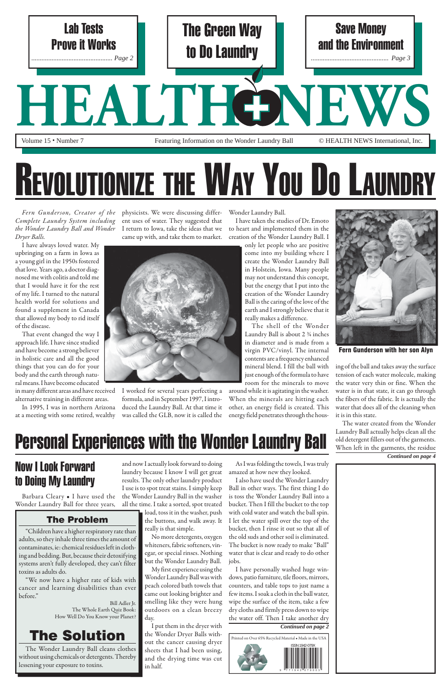## Now I Look Forward to Doing My Laundry

Wonder Laundry Ball for three years,

load, toss it in the washer, push lo the buttons, and walk away. It really is that simple.

Barbara Cleary • I have used the the Wonder Laundry Ball in the washer and now I actually look forward to doing laundry because I know I will get great results. The only other laundry product I use is to spot treat stains. I simply keep all the time. I take a sorted, spot treated

> No more detergents, oxygen whiteners, fabric softeners, vin-wh egar, or special rinses. Nothing eg but the Wonder Laundry Ball. bu My first experience using the

As I was folding the towels, I was truly amazed at how new they looked.

I also have used the Wonder Laundry Ball in other ways. The first thing I do is toss the Wonder Laundry Ball into a bucket. Then I fill the bucket to the top with cold water and watch the ball spin. I let the water spill over the top of the bucket, then I rinse it out so that all of the old suds and other soil is eliminated. The bucket is now ready to make "Ball" water that is clear and ready to do other jobs. I have personally washed huge windows, patio furniture, tile floors, mirrors, counters, and table tops to just name a few items. I soak a cloth in the ball water, wipe the surface of the item, take a few dry cloths and firmly press down to wipe the water off. Then I take another dry

*Fern Gunderson, Creator of the Complete Laundry System including the Wonder Laundry Ball and Wonder Dryer Balls.*

I have always loved water. My upbringing on a farm in Iowa as a young girl in the 1950s fostered that love. Years ago, a doctor diagnosed me with colitis and told me that I would have it for the rest of my life. I turned to the natural health world for solutions and found a supplement in Canada that allowed my body to rid itself of the disease.

That event changed the way I approach life. I have since studied and have become a strong believer in holistic care and all the good things that you can do for your body and the earth through natural means. I have become educated in many different areas and have received

alternative training in different areas.

In 1995, I was in northern Arizona at a meeting with some retired, wealthy

physicists. We were discussing different uses of water. They suggested that I return to Iowa, take the ideas that we came up with, and take them to market.



Wonder Laundry Ball was with W peach colored bath towels that pe came out looking brighter and ca smelling like they were hung outdoors on a clean breezy day. da

I put them in the dryer with the Wonder Dryer Balls with-th out the cancer causing dryer sheets that I had been using, and the drying time was cut an in half. in

I worked for several years perfecting a formula, and in September 1997, I introduced the Laundry Ball. At that time it was called the GLB, now it is called the Wonder Laundry Ball.

I have taken the studies of Dr. Emoto to heart and implemented them in the creation of the Wonder Laundry Ball. I

only let people who are positive come into my building where I create the Wonder Laundry Ball in Holstein, Iowa. Many people may not understand this concept, but the energy that I put into the creation of the Wonder Laundry Ball is the caring of the love of the earth and I strongly believe that it really makes a difference.

The shell of the Wonder Laundry Ball is about 2 ¾ inches in diameter and is made from a virgin PVC/vinyl. The internal contents are a frequency enhanced mineral blend. I fill the ball with just enough of the formula to have room for the minerals to move

around while it is agitating in the washer. When the minerals are hitting each other, an energy field is created. This energy field penetrates through the hous-

ing of the ball and takes away the surface tension of each water molecule, making the water very thin or fine. When the water is in that state, it can go through the fibers of the fabric. It is actually the water that does all of the cleaning when it is in this state.

The water created from the Wonder Laundry Ball actually helps clean all the old detergent fillers out of the garments. When left in the garments, the residue *Continued on page 4*



## REVOLUTIONIZE THE WAY YOU DO LAUNDRY

## Personal Experiences with the Wonder Laundry Ball

#### *Continued on page 2*





Fern Gunderson with her son Alyn

#### The Problem

"Children have a higher respiratory rate than adults, so they inhale three times the amount of contaminates, ie: chemical residues left in clothing and bedding. But, because their detoxifying systems aren't fully developed, they can't filter toxins as adults do.

"We now have a higher rate of kids with cancer and learning disabilities than ever before."

> Bill Adler Jr. The Whole Earth Quiz Book: How Well Do You Know your Planet?

### The Solution

The Wonder Laundry Ball cleans clothes without using chemicals or detergents. Thereby lessening your exposure to toxins.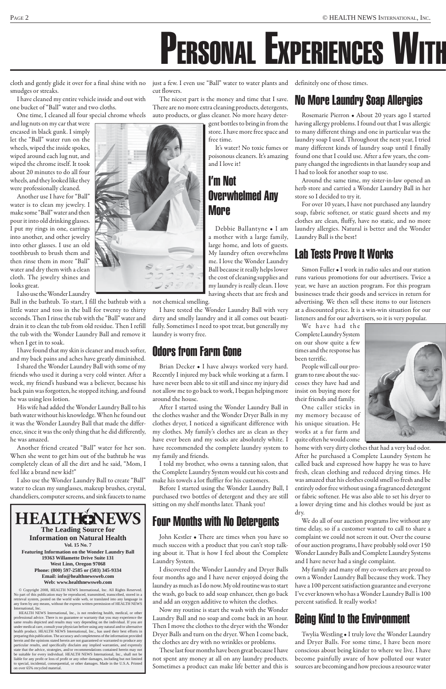# PERSONAL EXPERIENCES WITH

cloth and gently glide it over for a final shine with no smudges or streaks.

I have cleaned my entire vehicle inside and out with one bucket of "Ball" water and two cloths.

One time, I cleaned all four special chrome wheels

and lug nuts on my car that were encased in black gunk. I simply let the "Ball" water run on the wheels, wiped the inside spokes, wiped around each lug nut, and wiped the chrome itself. It took about 20 minutes to do all four wheels, and they looked like they were professionally cleaned.

Another use I have for "Ball" water is to clean my jewelry. I make some "Ball" water and then pour it into old drinking glasses. I put my rings in one, earrings into another, and other jewelry into other glasses. I use an old toothbrush to brush them and then rinse them in more "Ball" water and dry them with a clean cloth. The jewelry shines and looks great.

I also use the Wonder Laundry

Ball in the bathtub. To start, I fill the bathtub with a little water and toss in the ball for twenty to thirty seconds. Then I rinse the tub with the "Ball" water and drain it to clean the tub from old residue. Then I refill the tub with the Wonder Laundry Ball and remove it when I get in to soak.

I have found that my skin is cleaner and much softer, and my back pains and aches have greatly diminished.

I shared the Wonder Laundry Ball with some of my friends who used it during a very cold winter. After a week, my friend's husband was a believer, because his back pain was forgotten, he stopped itching, and found he was using less lotion.

His wife had added the Wonder Laundry Ball to his bath water without his knowledge. When he found out it was the Wonder Laundry Ball that made the difference, since it was the only thing that he did differently, he was amazed.

Another friend created "Ball" water for her son. When she went to get him out of the bathtub he was completely clean of all the dirt and he said, "Mom, I feel like a brand new kid!"

I also use the Wonder Laundry Ball to create "Ball" water to clean my sunglasses, makeup brushes, crystal, chandeliers, computer screens, and sink faucets to name

just a few. I even use "Ball" water to water plants and definitely one of those times. cut flowers.

The nicest part is the money and time that I save. There are no more extra cleaning products, detergents, auto products, or glass cleaner. No more heavy deter-

> gent bottles to bring in from the store. I have more free space and free time.

It's water! No toxic fumes or poisonous cleaners. It's amazing and I love it!

#### I'm Not Overwhelmed Any More

Debbie Ballantyne • I am a mother with a large family, large home, and lots of guests. My laundry often overwhelms me. I love the Wonder Laundry Ball because it really helps lower the cost of cleaning supplies and my laundry is really clean. I love having sheets that are fresh and

not chemical smelling.

I have tested the Wonder Laundry Ball with very dirty and smelly laundry and it all comes out beautifully. Sometimes I need to spot treat, but generally my laundry is worry free.

#### Odors from Farm Gone

We have had the Complete Laundry System on our show quite a few times and the response has been terrific.

Brian Decker • I have always worked very hard. Recently I injured my back while working at a farm. I have never been able to sit still and since my injury did not allow me to go back to work, I began helping more around the house.

After I started using the Wonder Laundry Ball in the clothes washer and the Wonder Dryer Balls in my clothes dryer, I noticed a significant difference with my clothes. My family's clothes are as clean as they have ever been and my socks are absolutely white. I have recommended the complete laundry system to my family and friends.

I told my brother, who owns a tanning salon, that the Complete Laundry System would cut his costs and make his towels a lot fluffier for his customers.

Before I started using the Wonder Laundry Ball, I purchased two bottles of detergent and they are still sitting on my shelf months later. Thank you!

### Four Months with No Detergents

John Kestler • There are times when you have so much success with a product that you can't stop talking about it. That is how I feel about the Complete Laundry System.

I discovered the Wonder Laundry and Dryer Balls four months ago and I have never enjoyed doing the laundry as much as I do now. My old routine was to start the wash, go back to add soap enhancer, then go back and add an oxygen additive to whiten the clothes.

Now my routine is start the wash with the Wonder Laundry Ball and no soap and come back in an hour. Then I move the clothes to the dryer with the Wonder Dryer Balls and turn on the dryer. When I come back, the clothes are dry with no wrinkles or problems.

These last four months have been great because I have not spent any money at all on any laundry products. Sometimes a product can make life better and this is

#### No More Laundry Soap Allergies

Rosemarie Pierron • About 20 years ago I started having allergy problems. I found out that I was allergic to many different things and one in particular was the laundry soap I used. Throughout the next year, I tried many different kinds of laundry soap until I finally found one that I could use. After a few years, the company changed the ingredients in that laundry soap and I had to look for another soap to use.

Around the same time, my sister-in-law opened an herb store and carried a Wonder Laundry Ball in her store so I decided to try it.

For over 10 years, I have not purchased any laundry soap, fabric softener, or static guard sheets and my clothes are clean, fluffy, have no static, and no more laundry allergies. Natural is better and the Wonder Laundry Ball is the best!

### Lab Tests Prove It Works

Simon Fuller • I work in radio sales and our station runs various promotions for our advertisers. Twice a year, we have an auction program. For this program businesses trade their goods and services in return for advertising. We then sell these items to our listeners at a discounted price. It is a win-win situation for our listeners and for our advertisers, so it is very popular.

People will call our program to rave about the successes they have had and insist on buying more for their friends and family.

One caller sticks in my memory because of his unique situation. He works at a fur farm and quite often he would come

home with very dirty clothes that had a very bad odor. After he purchased a Complete Laundry System he called back and expressed how happy he was to have fresh, clean clothing and reduced drying times. He was amazed that his clothes could smell so fresh and be entirely odor free without using a fragranced detergent or fabric softener. He was also able to set his dryer to a lower drying time and his clothes would be just as dry. We do all of our auction programs live without any time delay, so if a customer wanted to call to share a complaint we could not screen it out. Over the course of our auction programs, I have probably sold over 150 Wonder Laundry Balls and Complete Laundry Systems and I have never had a single complaint. My family and many of my co-workers are proud to own a Wonder Laundry Ball because they work. They have a 100 percent satisfaction guarantee and everyone I've ever known who has a Wonder Laundry Ball is 100 percent satisfied. It really works!





## **THENEWS**

#### Being Kind to the Environment

Twylia Westling • I truly love the Wonder Laundry and Dryer Balls. For some time, I have been more conscious about being kinder to where we live. I have become painfully aware of how polluted our water sources are becoming and how precious a resource water

#### **The Leading Source for Information on Natural Health**

**Vol. 15 No. 7 Featuring Information on the Wonder Laundry Ball 19363 Willamette Drive Suite 131 West Linn, Oregon 97068 Phone: (800) 597-2585 or (503) 345-9334 Email: info@healthnewsweb.com Web: www.healthnewsweb.com**

© Copyright 2008, HEALTH NEWS International, Inc. All Rights Reserved. No part of this publication may be reproduced, transmitted, transcribed, stored in a retrieval system, posted on the world wide web, or translated into any language in any form by any means, without the express written permission of HEALTH NEWS International, Inc.

HEALTH NEWS International, Inc., is not rendering health, medical, or other professional advice. There is no guarantee or warranty that you may experience the same results depicted and results may vary depending on the individual. If you are under medical care, consult your physician before using any natural and/or alternative health product. HEALTH NEWS International, Inc., has used their best efforts in preparing this publication. The accuracy and completeness of the information provided herein and the opinions stated herein are not guaranteed or warranted to produce any particular results, and specifically disclaim any implied warranties, and expressly state that the advice, strategies, and/or recommendations contained herein may not be suitable for every individual. HEALTH NEWS International, Inc., shall not be liable for any profit or loss of profit or any other damages, including but not limited to special, incidental, consequential, or other damages. Made in the U.S.A. Printed on over 65% recycled material.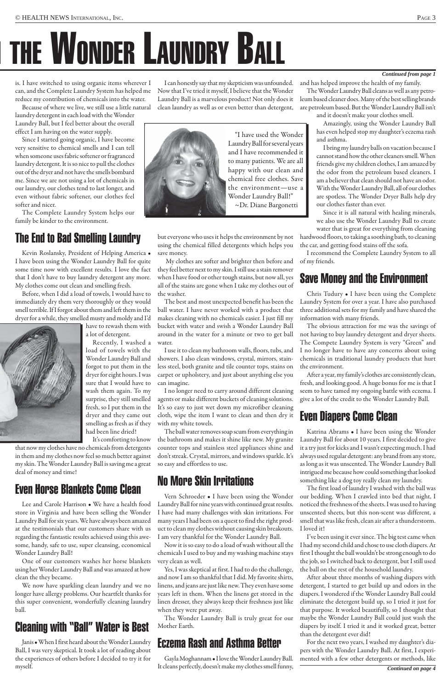# THE WONDER LAUNDRY BALL

#### *Con tin ued from page 1*

is. I have switched to using organic items wherever I can, and the Complete Laundry System has helped me reduce my contribution of chemicals into the water.

Because of where we live, we still use a little natural laundry detergent in each load with the Wonder Laundry Ball, but I feel better about the overall effect I am having on the water supply.

Since I started going organic, I have become very sensitive to chemical smells and I can tell when someone uses fabric softener or fragranced laundry detergent. It is so nice to pull the clothes out of the dryer and not have the smells bombard me. Since we are not using a lot of chemicals in our laundry, our clothes tend to last longer, and even without fabric softener, our clothes feel softer and nicer.

The Complete Laundry System helps our family be kinder to the environment.

#### The End to Bad Smelling Laundry

Kevin Roslansky, President of Helping America • I have been using the Wonder Laundry Ball for quite some time now with excellent results. I love the fact that I don't have to buy laundry detergent any more. My clothes come out clean and smelling fresh.

Before, when I did a load of towels, I would have to immediately dry them very thoroughly or they would smell terrible. If I forgot about them and left them in the dryer for a while, they smelled musty and moldy and I'd



have to rewash them with a lot of detergent. Recently, I washed a

load of towels with the Wonder Laundry Ball and forgot to put them in the dryer for eight hours. I was sure that I would have to wash them again. To my surprise, they still smelled fresh, so I put them in the dryer and they came out smelling as fresh as if they had been line dried!

It's comforting to know that now my clothes have no chemicals from detergents in them and my clothes now feel so much better against my skin. The Wonder Laundry Ball is saving me a great deal of money and time!

#### Even Horse Blankets Come Clean

Lee and Carole Harrison • We have a health food

store in Virginia and have been selling the Wonder Laundry Ball for six years. We have always been amazed at the testimonials that our customers share with us regarding the fantastic results achieved using this awesome, handy, safe to use, super cleansing, economical Wonder Laundry Ball!

One of our customers washes her horse blankets using her Wonder Laundry Ball and was amazed at how clean the they became.

We now have sparkling clean laundry and we no longer have allergy problems. Our heartfelt thanks for this super convenient, wonderfully cleaning laundry ball.

#### Cleaning with "Ball" Water is Best

Janis • When I first heard about the Wonder Laundry Ball, I was very skeptical. It took a lot of reading about the experiences of others before I decided to try it for myself.

I can honestly say that my skepticism was unfounded. Now that I've tried it myself, I believe that the Wonder Laundry Ball is a marvelous product! Not only does it clean laundry as well as or even better than detergent,



but everyone who uses it helps the environment by not using the chemical filled detergents which helps you save money.

 My clothes are softer and brighter then before and they feel better next to my skin. I still use a stain remover when I have food or other tough stains, but now all, yes all of the stains are gone when I take my clothes out of the washer.

The best and most unexpected benefit has been the ball water. I have never worked with a product that makes cleaning with no chemicals easier. I just fill my bucket with water and swish a Wonder Laundry Ball around in the water for a minute or two to get ball water.

I use it to clean my bathroom walls, floors, tubs, and showers. I also clean windows, crystal, mirrors, stainless steel, both granite and tile counter tops, stains on carpet or upholstery, and just about anything else you can imagine.

I no longer need to carry around different cleaning agents or make different buckets of cleaning solutions. It's so easy to just wet down my microfiber cleaning cloth, wipe the item I want to clean and then dry it with my white towels.

The ball water removes soap scum from everything in the bathroom and makes it shine like new. My granite counter tops and stainless steel appliances shine and don't streak. Crystal, mirrors, and windows sparkle. It's so easy and effortless to use.

#### No More Skin Irritations

Laundry Ball for nine years with continued great results. I have had many challenges with skin irritations. For many years I had been on a quest to find the right product to clean my clothes without causing skin breakouts. I am very thankful for the Wonder Laundry Ball.

Now it is so easy to do a load of wash without all the chemicals I used to buy and my washing machine stays very clean as well.

Yes, I was skeptical at first. I had to do the challenge, and now I am so thankful that I did. My favorite shirts, linens, and jeans are just like new. They even have some years left in them. When the linens get stored in the linen dresser, they always keep their freshness just like when they were put away.

The Wonder Laundry Ball is truly great for our Mother Earth.

#### Eczema Rash and Asthma Better

Gayla Moghannam • I love the Wonder Laundry Ball. It cleans perfectly, doesn't make my clothes smell funny, and has helped improve the health of my family.

The Wonder Laundry Ball cleans as well as any petroleum based cleaner does. Many of the best selling brands are petroleum based. But the Wonder Laundry Ball isn't and it doesn't make your clothes smell.

Amazingly, using the Wonder Laundry Ball has even helped stop my daughter's eczema rash and asthma.

I bring my laundry balls on vacation because I cannot stand how the other cleaners smell. When friends give my children clothes, I am amazed by the odor from the petroleum based cleaners. I am a believer that clean should not have an odor. With the Wonder Laundry Ball, all of our clothes are spotless. The Wonder Dryer Balls help dry our clothes faster than ever.

Since it is all natural with healing minerals, we also use the Wonder Laundry Ball to create water that is great for everything from cleaning

hardwood floors, to taking a soothing bath, to cleaning the car, and getting food stains off the sofa.

I recommend the Complete Laundry System to all of my friends.

#### Save Money and the Environment

Vern Schroeder • I have been using the Wonder our bedding. When I crawled into bed that night, I The first load of laundry I washed with the ball was noticed the freshness of the sheets. I was used to having unscented sheets, but this non-scent was different, a smell that was like fresh, clean air after a thunderstorm. I loved it! I've been using it ever since. The big test came when I had my second child and chose to use cloth diapers. At first I thought the ball wouldn't be strong enough to do the job, so I switched back to detergent, but I still used the ball on the rest of the household laundry. After about three months of washing diapers with detergent, I started to get build up and odors in the diapers. I wondered if the Wonder Laundry Ball could eliminate the detergent build up, so I tried it just for that purpose. It worked beautifully, so I thought that maybe the Wonder Laundry Ball could just wash the diapers by itself. I tried it and it worked great, better than the detergent ever did!

Chris Tudury • I have been using the Complete Laundry System for over a year. I have also purchased three additional sets for my family and have shared the information with many friends.

The obvious attraction for me was the savings of not having to buy laundry detergent and dryer sheets. The Compete Laundry System is very "Green" and I no longer have to have any concerns about using chemicals in traditional laundry products that hurt the environment.

After a year, my family's clothes are consistently clean, fresh, and looking good. A huge bonus for me is that I seem to have tamed my ongoing battle with eczema. I give a lot of the credit to the Wonder Laundry Ball.

#### Even Diapers Come Clean

Katrina Abrams • I have been using the Wonder Laundry Ball for about 10 years. I first decided to give it a try just for kicks and I wasn't expecting much. I had always used regular detergent: any brand from any store, as long as it was unscented. The Wonder Laundry Ball intrigued me because how could something that looked something like a dog toy really clean my laundry.

For the next two years, I washed my daughter's diapers with the Wonder Laundry Ball. At first, I experimented with a few other detergents or methods, like

*Continued on page 4*

"I have used the Wonder Laundry Ball for several years and I have recommended it to many patients. We are all happy with our clean and chemical free clothes. Save the environment—use a Wonder Laundry Ball!" ~Dr. Diane Bargonetti